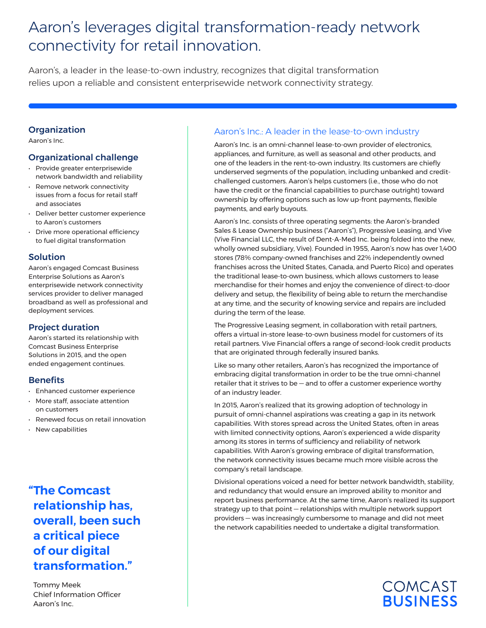# Aaron's leverages digital transformation-ready network connectivity for retail innovation.

Aaron's, a leader in the lease-to-own industry, recognizes that digital transformation relies upon a reliable and consistent enterprisewide network connectivity strategy.

#### **Organization**

Aaron's Inc.

### Organizational challenge

- Provide greater enterprisewide network bandwidth and reliability
- Remove network connectivity issues from a focus for retail staff and associates
- Deliver better customer experience to Aaron's customers
- Drive more operational efficiency to fuel digital transformation

# **Solution**

Aaron's engaged Comcast Business Enterprise Solutions as Aaron's enterprisewide network connectivity services provider to deliver managed broadband as well as professional and deployment services.

# Project duration

Aaron's started its relationship with Comcast Business Enterprise Solutions in 2015, and the open ended engagement continues.

#### **Benefits**

- Enhanced customer experience
- More staff, associate attention on customers
- Renewed focus on retail innovation
- New capabilities

# **"The Comcast relationship has, overall, been such a critical piece of our digital transformation."**

Tommy Meek Chief Information Officer Aaron's Inc.

# Aaron's Inc.: A leader in the lease-to-own industry

Aaron's Inc. is an omni-channel lease-to-own provider of electronics, appliances, and furniture, as well as seasonal and other products, and one of the leaders in the rent-to-own industry. Its customers are chiefly underserved segments of the population, including unbanked and creditchallenged customers. Aaron's helps customers (i.e., those who do not have the credit or the financial capabilities to purchase outright) toward ownership by offering options such as low up-front payments, flexible payments, and early buyouts.

Aaron's Inc. consists of three operating segments: the Aaron's-branded Sales & Lease Ownership business ("Aaron's"), Progressive Leasing, and Vive (Vive Financial LLC, the result of Dent-A-Med Inc. being folded into the new, wholly owned subsidiary, Vive). Founded in 1955, Aaron's now has over 1,400 stores (78% company-owned franchises and 22% independently owned franchises across the United States, Canada, and Puerto Rico) and operates the traditional lease-to-own business, which allows customers to lease merchandise for their homes and enjoy the convenience of direct-to-door delivery and setup, the flexibility of being able to return the merchandise at any time, and the security of knowing service and repairs are included during the term of the lease.

The Progressive Leasing segment, in collaboration with retail partners, offers a virtual in-store lease-to-own business model for customers of its retail partners. Vive Financial offers a range of second-look credit products that are originated through federally insured banks.

Like so many other retailers, Aaron's has recognized the importance of embracing digital transformation in order to be the true omni-channel retailer that it strives to be — and to offer a customer experience worthy of an industry leader.

In 2015, Aaron's realized that its growing adoption of technology in pursuit of omni-channel aspirations was creating a gap in its network capabilities. With stores spread across the United States, often in areas with limited connectivity options, Aaron's experienced a wide disparity among its stores in terms of sufficiency and reliability of network capabilities. With Aaron's growing embrace of digital transformation, the network connectivity issues became much more visible across the company's retail landscape.

Divisional operations voiced a need for better network bandwidth, stability, and redundancy that would ensure an improved ability to monitor and report business performance. At the same time, Aaron's realized its support strategy up to that point — relationships with multiple network support providers — was increasingly cumbersome to manage and did not meet the network capabilities needed to undertake a digital transformation.

# **COMCAST BUSINESS**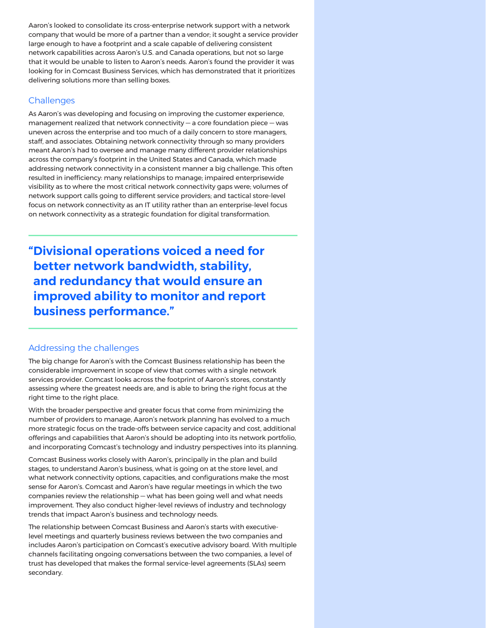Aaron's looked to consolidate its cross-enterprise network support with a network company that would be more of a partner than a vendor; it sought a service provider large enough to have a footprint and a scale capable of delivering consistent network capabilities across Aaron's U.S. and Canada operations, but not so large that it would be unable to listen to Aaron's needs. Aaron's found the provider it was looking for in Comcast Business Services, which has demonstrated that it prioritizes delivering solutions more than selling boxes.

### **Challenges**

As Aaron's was developing and focusing on improving the customer experience, management realized that network connectivity — a core foundation piece — was uneven across the enterprise and too much of a daily concern to store managers, staff, and associates. Obtaining network connectivity through so many providers meant Aaron's had to oversee and manage many different provider relationships across the company's footprint in the United States and Canada, which made addressing network connectivity in a consistent manner a big challenge. This often resulted in inefficiency: many relationships to manage; impaired enterprisewide visibility as to where the most critical network connectivity gaps were; volumes of network support calls going to different service providers; and tactical store-level focus on network connectivity as an IT utility rather than an enterprise-level focus on network connectivity as a strategic foundation for digital transformation.

**"Divisional operations voiced a need for better network bandwidth, stability, and redundancy that would ensure an improved ability to monitor and report business performance."**

#### Addressing the challenges

The big change for Aaron's with the Comcast Business relationship has been the considerable improvement in scope of view that comes with a single network services provider. Comcast looks across the footprint of Aaron's stores, constantly assessing where the greatest needs are, and is able to bring the right focus at the right time to the right place.

With the broader perspective and greater focus that come from minimizing the number of providers to manage, Aaron's network planning has evolved to a much more strategic focus on the trade-offs between service capacity and cost, additional offerings and capabilities that Aaron's should be adopting into its network portfolio, and incorporating Comcast's technology and industry perspectives into its planning.

Comcast Business works closely with Aaron's, principally in the plan and build stages, to understand Aaron's business, what is going on at the store level, and what network connectivity options, capacities, and configurations make the most sense for Aaron's. Comcast and Aaron's have regular meetings in which the two companies review the relationship — what has been going well and what needs improvement. They also conduct higher-level reviews of industry and technology trends that impact Aaron's business and technology needs.

The relationship between Comcast Business and Aaron's starts with executivelevel meetings and quarterly business reviews between the two companies and includes Aaron's participation on Comcast's executive advisory board. With multiple channels facilitating ongoing conversations between the two companies, a level of trust has developed that makes the formal service-level agreements (SLAs) seem secondary.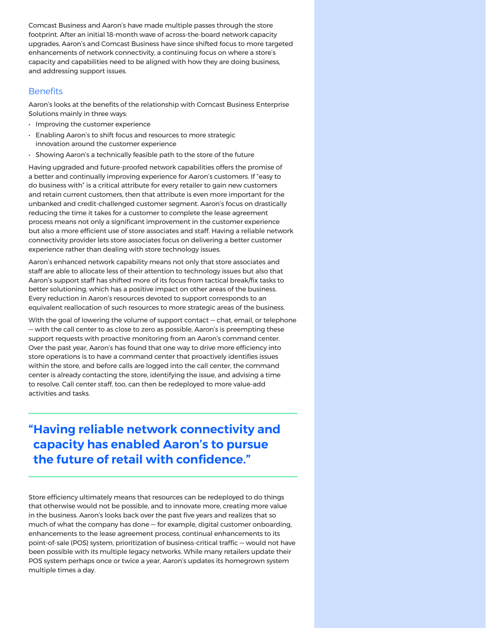Comcast Business and Aaron's have made multiple passes through the store footprint. After an initial 18-month wave of across-the-board network capacity upgrades, Aaron's and Comcast Business have since shifted focus to more targeted enhancements of network connectivity, a continuing focus on where a store's capacity and capabilities need to be aligned with how they are doing business, and addressing support issues.

#### **Benefits**

Aaron's looks at the benefits of the relationship with Comcast Business Enterprise Solutions mainly in three ways:

- Improving the customer experience
- Enabling Aaron's to shift focus and resources to more strategic innovation around the customer experience
- Showing Aaron's a technically feasible path to the store of the future

Having upgraded and future-proofed network capabilities offers the promise of a better and continually improving experience for Aaron's customers. If "easy to do business with" is a critical attribute for every retailer to gain new customers and retain current customers, then that attribute is even more important for the unbanked and credit-challenged customer segment. Aaron's focus on drastically reducing the time it takes for a customer to complete the lease agreement process means not only a significant improvement in the customer experience but also a more efficient use of store associates and staff. Having a reliable network connectivity provider lets store associates focus on delivering a better customer experience rather than dealing with store technology issues.

Aaron's enhanced network capability means not only that store associates and staff are able to allocate less of their attention to technology issues but also that Aaron's support staff has shifted more of its focus from tactical break/fix tasks to better solutioning, which has a positive impact on other areas of the business. Every reduction in Aaron's resources devoted to support corresponds to an equivalent reallocation of such resources to more strategic areas of the business.

With the goal of lowering the volume of support contact — chat, email, or telephone — with the call center to as close to zero as possible, Aaron's is preempting these support requests with proactive monitoring from an Aaron's command center. Over the past year, Aaron's has found that one way to drive more efficiency into store operations is to have a command center that proactively identifies issues within the store, and before calls are logged into the call center, the command center is already contacting the store, identifying the issue, and advising a time to resolve. Call center staff, too, can then be redeployed to more value-add activities and tasks.

# **"Having reliable network connectivity and capacity has enabled Aaron's to pursue the future of retail with confidence."**

Store efficiency ultimately means that resources can be redeployed to do things that otherwise would not be possible, and to innovate more, creating more value in the business. Aaron's looks back over the past five years and realizes that so much of what the company has done — for example, digital customer onboarding, enhancements to the lease agreement process, continual enhancements to its point-of-sale (POS) system, prioritization of business-critical traffic — would not have been possible with its multiple legacy networks. While many retailers update their POS system perhaps once or twice a year, Aaron's updates its homegrown system multiple times a day.